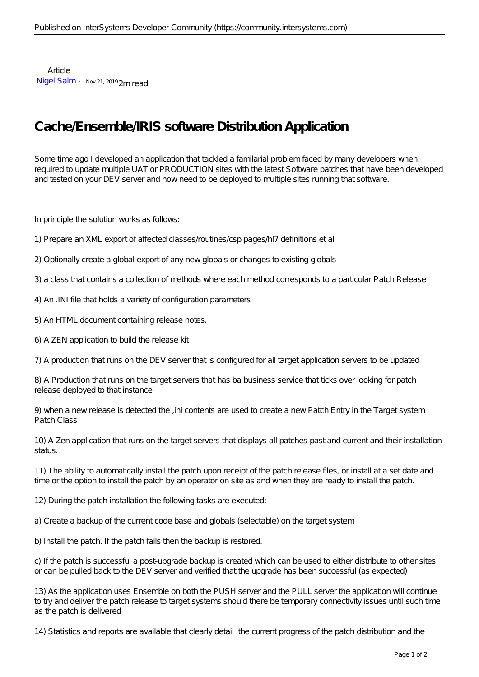Article [Nigel Salm](https://community.intersystems.com/user/nigel-salm-1) · Nov 21, 2019 2m read

## **Cache/Ensemble/IRIS software Distribution Application**

Some time ago I developed an application that tackled a familarial problem faced by many developers when required to update multiple UAT or PRODUCTION sites with the latest Software patches that have been developed and tested on your DEV server and now need to be deployed to multiple sites running that software.

In principle the solution works as follows:

- 1) Prepare an XML export of affected classes/routines/csp pages/hl7 definitions et al
- 2) Optionally create a global export of any new globals or changes to existing globals

3) a class that contains a collection of methods where each method corresponds to a particular Patch Release

- 4) An .INI file that holds a variety of configuration parameters
- 5) An HTML document containing release notes.
- 6) A ZEN application to build the release kit

7) A production that runs on the DEV server that is configured for all target application servers to be updated

8) A Production that runs on the target servers that has ba business service that ticks over looking for patch release deployed to that instance

9) when a new release is detected the ,ini contents are used to create a new Patch Entry in the Target system Patch Class

10) A Zen application that runs on the target servers that displays all patches past and current and their installation status.

11) The ability to automatically install the patch upon receipt of the patch release files, or install at a set date and time or the option to install the patch by an operator on site as and when they are ready to install the patch.

12) During the patch installation the following tasks are executed:

a) Create a backup of the current code base and globals (selectable) on the target system

b) Install the patch. If the patch fails then the backup is restored.

c) If the patch is successful a post-upgrade backup is created which can be used to either distribute to other sites or can be pulled back to the DEV server and verified that the upgrade has been successful (as expected)

13) As the application uses Ensemble on both the PUSH server and the PULL server the application will continue to try and deliver the patch release to target systems should there be temporary connectivity issues until such time as the patch is delivered

14) Statistics and reports are available that clearly detail the current progress of the patch distribution and the